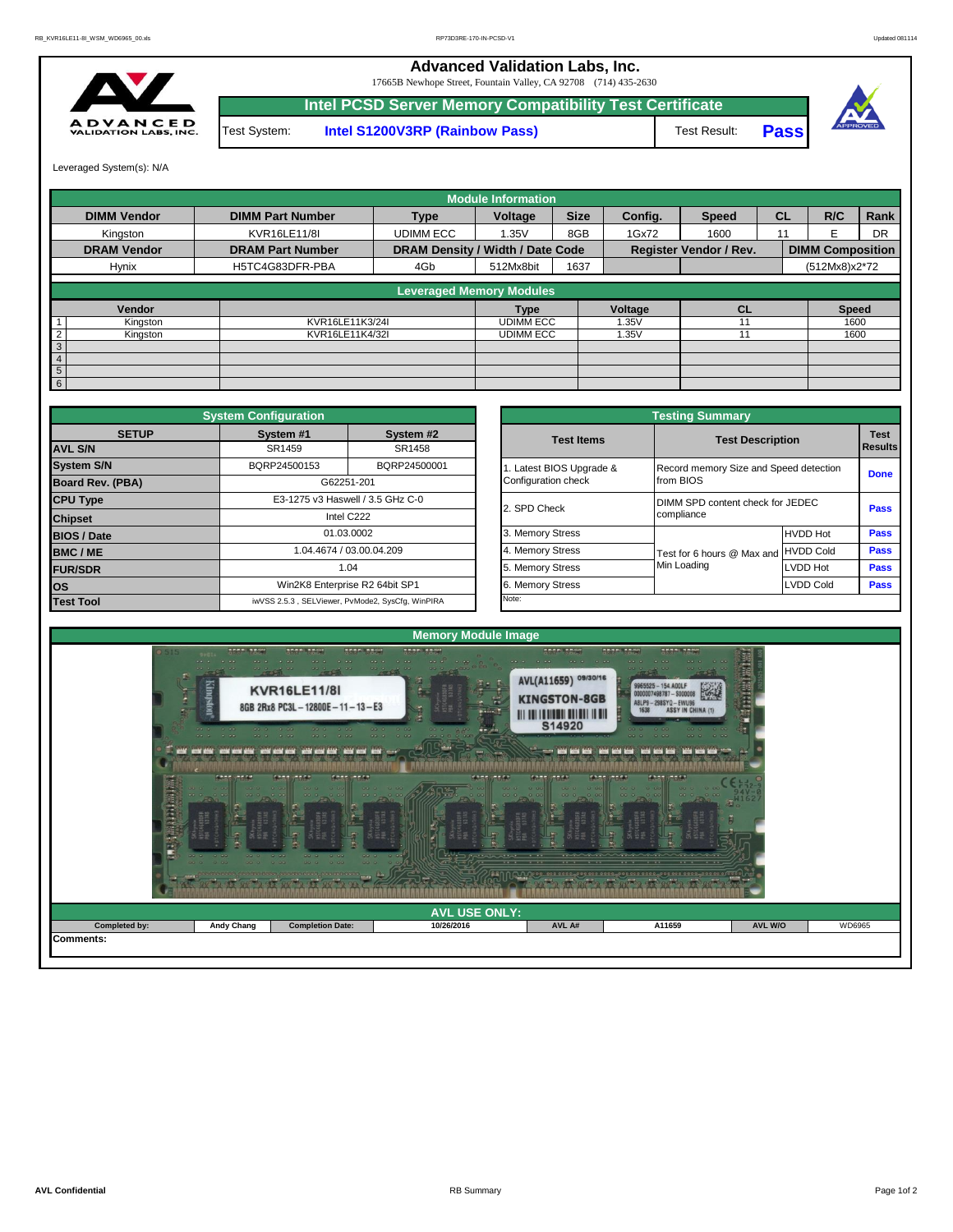**Advanced Validation Labs, Inc.** 

17665B Newhope Street, Fountain Valley, CA 92708 (714) 435-2630



**Intel PCSD Server Memory Compatibility Test Certificate** Test System: **Intel S1200V3RP (Rainbow Pass)** Test Result: **Pass**





Leveraged System(s): N/A

|                    |          |                         |                                  | <b>Module Information</b> |             |         |                               |           |                         |           |
|--------------------|----------|-------------------------|----------------------------------|---------------------------|-------------|---------|-------------------------------|-----------|-------------------------|-----------|
| <b>DIMM Vendor</b> |          | <b>DIMM Part Number</b> | <b>Type</b>                      | Voltage                   | <b>Size</b> | Config. | <b>Speed</b>                  | <b>CL</b> | R/C                     | Rank      |
| Kingston           |          | KVR16LE11/8I            | <b>UDIMM ECC</b>                 | 1.35V                     | 8GB         | 1Gx72   | 1600                          |           |                         | <b>DR</b> |
| <b>DRAM Vendor</b> |          | <b>DRAM Part Number</b> | DRAM Density / Width / Date Code |                           |             |         | <b>Register Vendor / Rev.</b> |           | <b>DIMM Composition</b> |           |
| Hynix              |          | H5TC4G83DFR-PBA         | 4Gb                              | 512Mx8bit                 | 1637        |         |                               |           | (512Mx8)x2*72           |           |
|                    |          |                         | <b>Leveraged Memory Modules</b>  |                           |             |         |                               |           |                         |           |
|                    |          |                         |                                  |                           |             |         |                               |           |                         |           |
|                    | Vendor   |                         |                                  | <b>Type</b>               |             | Voltage | <b>CL</b>                     |           | <b>Speed</b>            |           |
|                    | Kingston | KVR16LE11K3/24I         |                                  | <b>UDIMM ECC</b>          |             | 1.35V   |                               |           | 1600                    |           |
|                    | Kingston | KVR16LE11K4/32I         |                                  | <b>UDIMM ECC</b>          |             | 1.35V   |                               |           | 1600                    |           |
| 3                  |          |                         |                                  |                           |             |         |                               |           |                         |           |
| 4                  |          |                         |                                  |                           |             |         |                               |           |                         |           |
| 5                  |          |                         |                                  |                           |             |         |                               |           |                         |           |
| 6                  |          |                         |                                  |                           |             |         |                               |           |                         |           |

|                                | <b>System Configuration</b> |                                                  |                       | <b>Testing Summary</b>                 | <b>Test</b><br><b>Results</b><br><b>Done</b><br>Pass<br><b>HVDD Hot</b><br><b>Pass</b> |             |  |  |  |  |  |
|--------------------------------|-----------------------------|--------------------------------------------------|-----------------------|----------------------------------------|----------------------------------------------------------------------------------------|-------------|--|--|--|--|--|
| <b>SETUP</b><br><b>AVL S/N</b> | System #1<br>SR1459         | System #2<br>SR1458                              | <b>Test Items</b>     | <b>Test Description</b>                |                                                                                        |             |  |  |  |  |  |
|                                |                             |                                                  |                       |                                        |                                                                                        |             |  |  |  |  |  |
| <b>System S/N</b>              | BQRP24500153                | BQRP24500001                                     | Latest BIOS Upgrade & | Record memory Size and Speed detection |                                                                                        |             |  |  |  |  |  |
| Board Rev. (PBA)               |                             | G62251-201                                       | Configuration check   | from BIOS                              |                                                                                        |             |  |  |  |  |  |
| <b>CPU Type</b>                |                             | E3-1275 v3 Haswell / 3.5 GHz C-0                 | 2. SPD Check          | DIMM SPD content check for JEDEC       |                                                                                        |             |  |  |  |  |  |
| <b>Chipset</b>                 |                             | Intel C222                                       |                       | compliance                             |                                                                                        |             |  |  |  |  |  |
| <b>BIOS / Date</b>             |                             | 01.03.0002                                       | 3. Memory Stress      |                                        |                                                                                        |             |  |  |  |  |  |
| <b>BMC/ME</b>                  |                             | 1.04.4674 / 03.00.04.209                         | 4. Memory Stress      | Test for 6 hours @ Max and HVDD Cold   |                                                                                        | <b>Pass</b> |  |  |  |  |  |
| <b>FUR/SDR</b>                 |                             | 1.04                                             | 5. Memory Stress      | Min Loading                            | <b>LVDD Hot</b>                                                                        | Pass        |  |  |  |  |  |
| <b>los</b>                     |                             | Win2K8 Enterprise R2 64bit SP1                   | 6. Memory Stress      |                                        | <b>LVDD Cold</b>                                                                       | <b>Pass</b> |  |  |  |  |  |
| <b>Test Tool</b>               |                             | iwVSS 2.5.3, SELViewer, PvMode2, SysCfg, WinPIRA | Note:                 |                                        |                                                                                        |             |  |  |  |  |  |

|              | <b>System Configuration</b>                      |                                  |                                              | <b>Testing Summary</b>                              |                  |                               |
|--------------|--------------------------------------------------|----------------------------------|----------------------------------------------|-----------------------------------------------------|------------------|-------------------------------|
| <b>SETUP</b> | System #1<br>SR1459                              | System #2<br>SR1458              | <b>Test Items</b>                            | <b>Test Description</b>                             |                  | <b>Test</b><br><b>Results</b> |
|              | BQRP24500153                                     | BQRP24500001                     |                                              |                                                     |                  |                               |
| PBA)         | G62251-201                                       |                                  | Latest BIOS Upgrade &<br>Configuration check | Record memory Size and Speed detection<br>from BIOS |                  | <b>Done</b>                   |
|              |                                                  | E3-1275 v3 Haswell / 3.5 GHz C-0 | 2. SPD Check                                 | DIMM SPD content check for JEDEC                    |                  |                               |
|              |                                                  | Intel C222                       |                                              | compliance                                          |                  | <b>Pass</b>                   |
|              | 01.03.0002                                       |                                  | 3. Memory Stress                             |                                                     | <b>HVDD Hot</b>  | Pass                          |
|              |                                                  | 1.04.4674 / 03.00.04.209         | 4. Memory Stress                             | Test for 6 hours @ Max and HVDD Cold                |                  | Pass                          |
|              |                                                  | 1.04                             | 5. Memory Stress                             | Min Loading                                         | LVDD Hot         | Pass                          |
|              | Win2K8 Enterprise R2 64bit SP1                   |                                  | 6. Memory Stress                             |                                                     | <b>LVDD Cold</b> | Pass                          |
|              | iwVSS 2.5.3, SELViewer, PvMode2, SysCfg, WinPIRA |                                  | Note:                                        |                                                     |                  |                               |